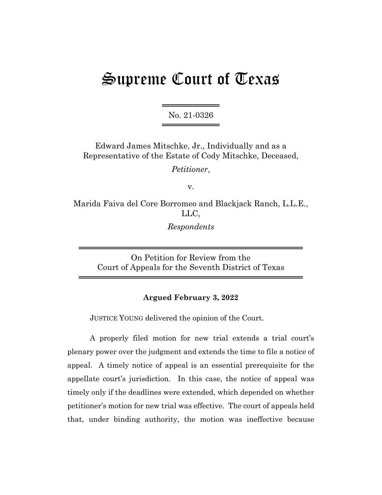# Supreme Court of Texas

═══════════════════ No. 21-0326 ═════════════════

Edward James Mitschke, Jr., Individually and as a Representative of the Estate of Cody Mitschke, Deceased,

*Petitioner*,

v.

Marida Faiva del Core Borromeo and Blackjack Ranch, L.L.E., LLC,

*Respondents*

On Petition for Review from the Court of Appeals for the Seventh District of Texas

═══════════════════════════════════════

═══════════════════════════════════════

### **Argued February 3, 2022**

JUSTICE YOUNG delivered the opinion of the Court.

A properly filed motion for new trial extends a trial court's plenary power over the judgment and extends the time to file a notice of appeal. A timely notice of appeal is an essential prerequisite for the appellate court's jurisdiction. In this case, the notice of appeal was timely only if the deadlines were extended, which depended on whether petitioner's motion for new trial was effective. The court of appeals held that, under binding authority, the motion was ineffective because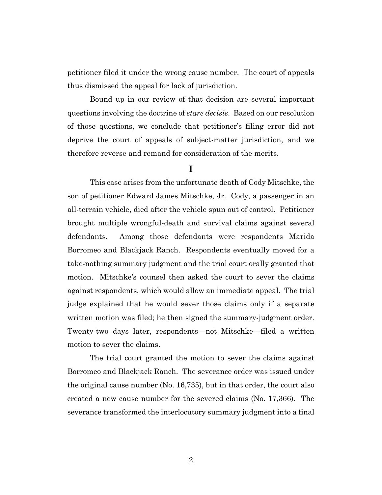petitioner filed it under the wrong cause number. The court of appeals thus dismissed the appeal for lack of jurisdiction.

Bound up in our review of that decision are several important questions involving the doctrine of *stare decisis*. Based on our resolution of those questions, we conclude that petitioner's filing error did not deprive the court of appeals of subject-matter jurisdiction, and we therefore reverse and remand for consideration of the merits.

# **I**

This case arises from the unfortunate death of Cody Mitschke, the son of petitioner Edward James Mitschke, Jr. Cody, a passenger in an all-terrain vehicle, died after the vehicle spun out of control. Petitioner brought multiple wrongful-death and survival claims against several defendants. Among those defendants were respondents Marida Borromeo and Blackjack Ranch. Respondents eventually moved for a take-nothing summary judgment and the trial court orally granted that motion. Mitschke's counsel then asked the court to sever the claims against respondents, which would allow an immediate appeal. The trial judge explained that he would sever those claims only if a separate written motion was filed; he then signed the summary-judgment order. Twenty-two days later, respondents—not Mitschke—filed a written motion to sever the claims.

The trial court granted the motion to sever the claims against Borromeo and Blackjack Ranch. The severance order was issued under the original cause number (No. 16,735), but in that order, the court also created a new cause number for the severed claims (No. 17,366). The severance transformed the interlocutory summary judgment into a final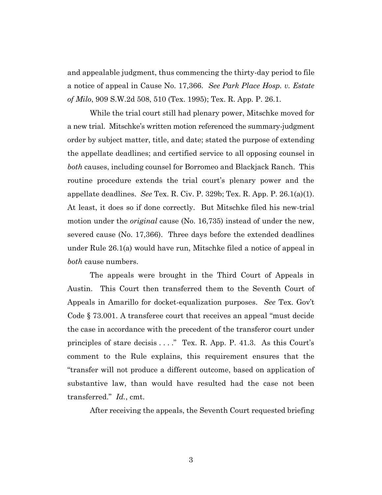and appealable judgment, thus commencing the thirty-day period to file a notice of appeal in Cause No. 17,366. *See Park Place Hosp. v. Estate of Milo*, 909 S.W.2d 508, 510 (Tex. 1995); Tex. R. App. P. 26.1.

While the trial court still had plenary power, Mitschke moved for a new trial. Mitschke's written motion referenced the summary-judgment order by subject matter, title, and date; stated the purpose of extending the appellate deadlines; and certified service to all opposing counsel in *both* causes, including counsel for Borromeo and Blackjack Ranch. This routine procedure extends the trial court's plenary power and the appellate deadlines. *See* Tex. R. Civ. P. 329b; Tex. R. App. P. 26.1(a)(1). At least, it does so if done correctly. But Mitschke filed his new-trial motion under the *original* cause (No. 16,735) instead of under the new, severed cause (No. 17,366). Three days before the extended deadlines under Rule 26.1(a) would have run, Mitschke filed a notice of appeal in *both* cause numbers.

The appeals were brought in the Third Court of Appeals in Austin. This Court then transferred them to the Seventh Court of Appeals in Amarillo for docket-equalization purposes. *See* Tex. Gov't Code § 73.001. A transferee court that receives an appeal "must decide the case in accordance with the precedent of the transferor court under principles of stare decisis . . . ." Tex. R. App. P. 41.3. As this Court's comment to the Rule explains, this requirement ensures that the "transfer will not produce a different outcome, based on application of substantive law, than would have resulted had the case not been transferred." *Id.*, cmt.

After receiving the appeals, the Seventh Court requested briefing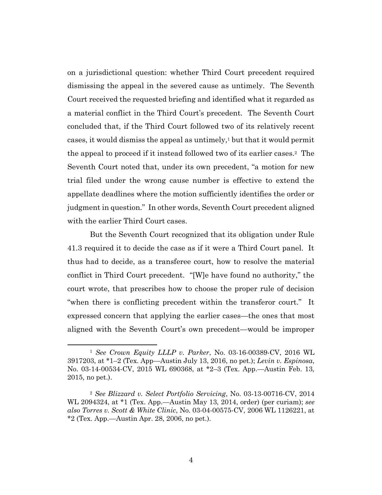on a jurisdictional question: whether Third Court precedent required dismissing the appeal in the severed cause as untimely. The Seventh Court received the requested briefing and identified what it regarded as a material conflict in the Third Court's precedent. The Seventh Court concluded that, if the Third Court followed two of its relatively recent cases, it would dismiss the appeal as untimely,<sup>1</sup> but that it would permit the appeal to proceed if it instead followed two of its earlier cases.<sup>2</sup> The Seventh Court noted that, under its own precedent, "a motion for new trial filed under the wrong cause number is effective to extend the appellate deadlines where the motion sufficiently identifies the order or judgment in question." In other words, Seventh Court precedent aligned with the earlier Third Court cases.

But the Seventh Court recognized that its obligation under Rule 41.3 required it to decide the case as if it were a Third Court panel. It thus had to decide, as a transferee court, how to resolve the material conflict in Third Court precedent. "[W]e have found no authority," the court wrote, that prescribes how to choose the proper rule of decision "when there is conflicting precedent within the transferor court." It expressed concern that applying the earlier cases—the ones that most aligned with the Seventh Court's own precedent—would be improper

<sup>1</sup> *See Crown Equity LLLP v. Parker*, No. 03-16-00389-CV, 2016 WL 3917203, at \*1–2 (Tex. App—Austin July 13, 2016, no pet.); *Levin v. Espinosa*, No. 03-14-00534-CV, 2015 WL 690368, at \*2–3 (Tex. App.—Austin Feb. 13, 2015, no pet.).

<sup>2</sup> *See Blizzard v. Select Portfolio Servicing*, No. 03-13-00716-CV, 2014 WL 2094324, at \*1 (Tex. App.—Austin May 13, 2014, order) (per curiam); *see also Torres v. Scott & White Clinic*, No. 03-04-00575-CV, 2006 WL 1126221, at \*2 (Tex. App.—Austin Apr. 28, 2006, no pet.).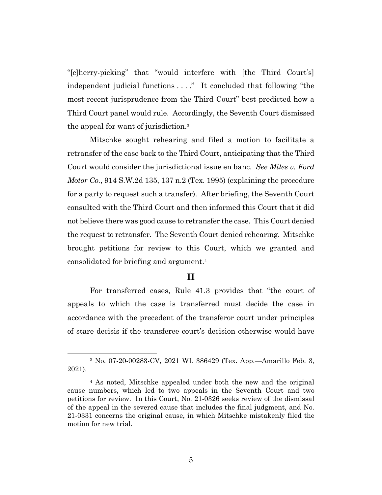"[c]herry-picking" that "would interfere with [the Third Court's] independent judicial functions . . . ." It concluded that following "the most recent jurisprudence from the Third Court" best predicted how a Third Court panel would rule. Accordingly, the Seventh Court dismissed the appeal for want of jurisdiction.<sup>3</sup>

Mitschke sought rehearing and filed a motion to facilitate a retransfer of the case back to the Third Court, anticipating that the Third Court would consider the jurisdictional issue en banc. *See Miles v. Ford Motor Co.*, 914 S.W.2d 135, 137 n.2 (Tex. 1995) (explaining the procedure for a party to request such a transfer). After briefing, the Seventh Court consulted with the Third Court and then informed this Court that it did not believe there was good cause to retransfer the case. This Court denied the request to retransfer. The Seventh Court denied rehearing. Mitschke brought petitions for review to this Court, which we granted and consolidated for briefing and argument.<sup>4</sup>

# **II**

For transferred cases, Rule 41.3 provides that "the court of appeals to which the case is transferred must decide the case in accordance with the precedent of the transferor court under principles of stare decisis if the transferee court's decision otherwise would have

<sup>3</sup> No. 07-20-00283-CV, 2021 WL 386429 (Tex. App.—Amarillo Feb. 3, 2021).

<sup>4</sup> As noted, Mitschke appealed under both the new and the original cause numbers, which led to two appeals in the Seventh Court and two petitions for review. In this Court, No. 21-0326 seeks review of the dismissal of the appeal in the severed cause that includes the final judgment, and No. 21-0331 concerns the original cause, in which Mitschke mistakenly filed the motion for new trial.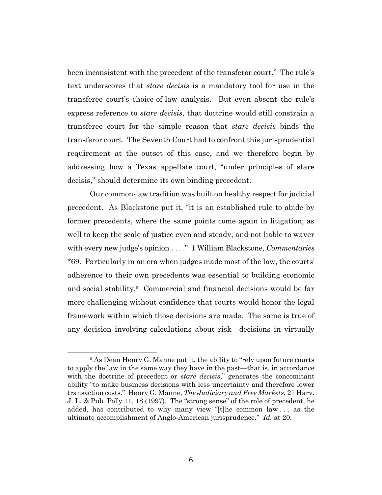been inconsistent with the precedent of the transferor court." The rule's text underscores that *stare decisis* is a mandatory tool for use in the transferee court's choice-of-law analysis. But even absent the rule's express reference to *stare decisis*, that doctrine would still constrain a transferee court for the simple reason that *stare decisis* binds the transferor court. The Seventh Court had to confront this jurisprudential requirement at the outset of this case, and we therefore begin by addressing how a Texas appellate court, "under principles of stare decisis," should determine its own binding precedent.

Our common-law tradition was built on healthy respect for judicial precedent. As Blackstone put it, "it is an established rule to abide by former precedents, where the same points come again in litigation; as well to keep the scale of justice even and steady, and not liable to waver with every new judge's opinion . . . ." 1 William Blackstone, *Commentaries* \*69. Particularly in an era when judges made most of the law, the courts' adherence to their own precedents was essential to building economic and social stability.<sup>5</sup> Commercial and financial decisions would be far more challenging without confidence that courts would honor the legal framework within which those decisions are made. The same is true of any decision involving calculations about risk—decisions in virtually

<sup>5</sup> As Dean Henry G. Manne put it, the ability to "rely upon future courts to apply the law in the same way they have in the past—that is, in accordance with the doctrine of precedent or *stare decisis*," generates the concomitant ability "to make business decisions with less uncertainty and therefore lower transaction costs." Henry G. Manne, *The Judiciary and Free Markets*, 21 Harv. J. L. & Pub. Pol'y 11, 18 (1997). The "strong sense" of the role of precedent, he added, has contributed to why many view "[t]he common law . . . as the ultimate accomplishment of Anglo-American jurisprudence." *Id.* at 20.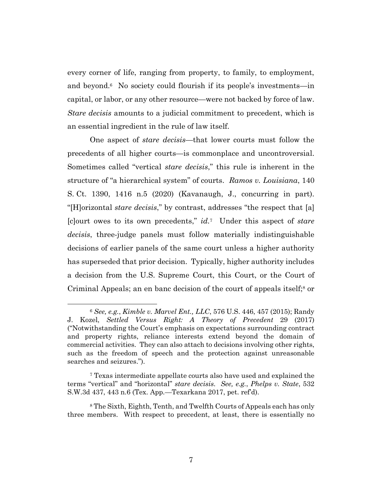every corner of life, ranging from property, to family, to employment, and beyond.<sup>6</sup> No society could flourish if its people's investments—in capital, or labor, or any other resource—were not backed by force of law. *Stare decisis* amounts to a judicial commitment to precedent, which is an essential ingredient in the rule of law itself.

One aspect of *stare decisis*—that lower courts must follow the precedents of all higher courts—is commonplace and uncontroversial. Sometimes called "vertical *stare decisis*," this rule is inherent in the structure of "a hierarchical system" of courts. *Ramos v. Louisiana*, 140 S. Ct. 1390, 1416 n.5 (2020) (Kavanaugh, J., concurring in part). "[H]orizontal *stare decisis*," by contrast, addresses "the respect that [a] [c]ourt owes to its own precedents," *id.*<sup>7</sup> Under this aspect of *stare decisis*, three-judge panels must follow materially indistinguishable decisions of earlier panels of the same court unless a higher authority has superseded that prior decision. Typically, higher authority includes a decision from the U.S. Supreme Court, this Court, or the Court of Criminal Appeals; an en banc decision of the court of appeals itself; <sup>8</sup> or

<sup>6</sup> *See, e.g.*, *Kimble v. Marvel Ent., LLC*, 576 U.S. 446, 457 (2015); Randy J. Kozel, *Settled Versus Right: A Theory of Precedent* 29 (2017) ("Notwithstanding the Court's emphasis on expectations surrounding contract and property rights, reliance interests extend beyond the domain of commercial activities. They can also attach to decisions involving other rights, such as the freedom of speech and the protection against unreasonable searches and seizures.").

<sup>7</sup> Texas intermediate appellate courts also have used and explained the terms "vertical" and "horizontal" *stare decisis*. *See, e.g.*, *Phelps v. State*, 532 S.W.3d 437, 443 n.6 (Tex. App.—Texarkana 2017, pet. ref'd).

<sup>8</sup> The Sixth, Eighth, Tenth, and Twelfth Courts of Appeals each has only three members. With respect to precedent, at least, there is essentially no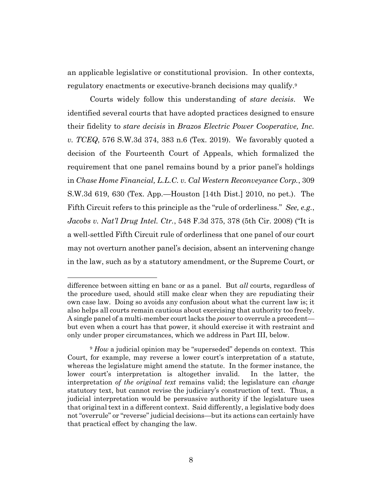an applicable legislative or constitutional provision. In other contexts, regulatory enactments or executive-branch decisions may qualify.<sup>9</sup>

Courts widely follow this understanding of *stare decisis*. We identified several courts that have adopted practices designed to ensure their fidelity to *stare decisis* in *Brazos Electric Power Cooperative, Inc. v. TCEQ*, 576 S.W.3d 374, 383 n.6 (Tex. 2019). We favorably quoted a decision of the Fourteenth Court of Appeals, which formalized the requirement that one panel remains bound by a prior panel's holdings in *Chase Home Financial, L.L.C. v. Cal Western Reconveyance Corp.*, 309 S.W.3d 619, 630 (Tex. App.—Houston [14th Dist.] 2010, no pet.). The Fifth Circuit refers to this principle as the "rule of orderliness." *See, e.g.*, *Jacobs v. Nat'l Drug Intel. Ctr.*, 548 F.3d 375, 378 (5th Cir. 2008) ("It is a well-settled Fifth Circuit rule of orderliness that one panel of our court may not overturn another panel's decision, absent an intervening change in the law, such as by a statutory amendment, or the Supreme Court, or

difference between sitting en banc or as a panel. But *all* courts, regardless of the procedure used, should still make clear when they are repudiating their own case law. Doing so avoids any confusion about what the current law is; it also helps all courts remain cautious about exercising that authority too freely. A single panel of a multi-member court lacks the *power* to overrule a precedent but even when a court has that power, it should exercise it with restraint and only under proper circumstances, which we address in Part III, below.

<sup>9</sup> *How* a judicial opinion may be "superseded" depends on context. This Court, for example, may reverse a lower court's interpretation of a statute, whereas the legislature might amend the statute. In the former instance, the lower court's interpretation is altogether invalid. In the latter, the interpretation *of the original text* remains valid; the legislature can *change*  statutory text, but cannot revise the judiciary's construction of text. Thus, a judicial interpretation would be persuasive authority if the legislature uses that original text in a different context. Said differently, a legislative body does not "overrule" or "reverse" judicial decisions—but its actions can certainly have that practical effect by changing the law.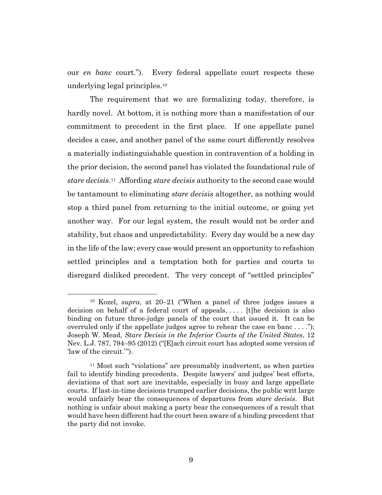our *en banc* court."). Every federal appellate court respects these underlying legal principles.<sup>10</sup>

The requirement that we are formalizing today, therefore, is hardly novel. At bottom, it is nothing more than a manifestation of our commitment to precedent in the first place. If one appellate panel decides a case, and another panel of the same court differently resolves a materially indistinguishable question in contravention of a holding in the prior decision, the second panel has violated the foundational rule of *stare decisis*. 11 Affording *stare decisis* authority to the second case would be tantamount to eliminating *stare decisis* altogether, as nothing would stop a third panel from returning to the initial outcome, or going yet another way. For our legal system, the result would not be order and stability, but chaos and unpredictability. Every day would be a new day in the life of the law; every case would present an opportunity to refashion settled principles and a temptation both for parties and courts to disregard disliked precedent. The very concept of "settled principles"

<sup>10</sup> Kozel, *supra*, at 20–21 ("When a panel of three judges issues a decision on behalf of a federal court of appeals, . . . . [t]he decision is also binding on future three-judge panels of the court that issued it. It can be overruled only if the appellate judges agree to rehear the case en banc . . . ."); Joseph W. Mead, *Stare Decisis in the Inferior Courts of the United States*, 12 Nev. L.J. 787, 794–95 (2012) ("[E]ach circuit court has adopted some version of 'law of the circuit.'").

<sup>11</sup> Most such "violations" are presumably inadvertent, as when parties fail to identify binding precedents. Despite lawyers' and judges' best efforts, deviations of that sort are inevitable, especially in busy and large appellate courts. If last-in-time decisions trumped earlier decisions, the public writ large would unfairly bear the consequences of departures from *stare decisis*. But nothing is unfair about making a party bear the consequences of a result that would have been different had the court been aware of a binding precedent that the party did not invoke.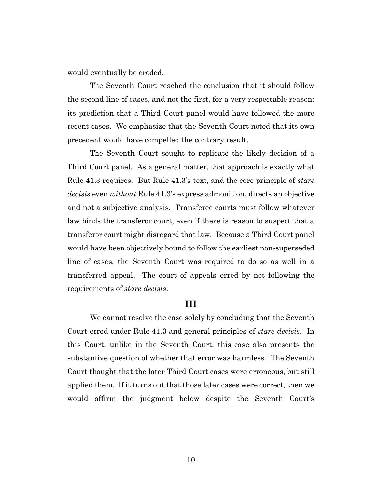would eventually be eroded.

The Seventh Court reached the conclusion that it should follow the second line of cases, and not the first, for a very respectable reason: its prediction that a Third Court panel would have followed the more recent cases. We emphasize that the Seventh Court noted that its own precedent would have compelled the contrary result.

The Seventh Court sought to replicate the likely decision of a Third Court panel. As a general matter, that approach is exactly what Rule 41.3 requires. But Rule 41.3's text, and the core principle of *stare decisis* even *without* Rule 41.3's express admonition, directs an objective and not a subjective analysis. Transferee courts must follow whatever law binds the transferor court, even if there is reason to suspect that a transferor court might disregard that law. Because a Third Court panel would have been objectively bound to follow the earliest non-superseded line of cases, the Seventh Court was required to do so as well in a transferred appeal. The court of appeals erred by not following the requirements of *stare decisis*.

### **III**

We cannot resolve the case solely by concluding that the Seventh Court erred under Rule 41.3 and general principles of *stare decisis*. In this Court, unlike in the Seventh Court, this case also presents the substantive question of whether that error was harmless. The Seventh Court thought that the later Third Court cases were erroneous, but still applied them. If it turns out that those later cases were correct, then we would affirm the judgment below despite the Seventh Court's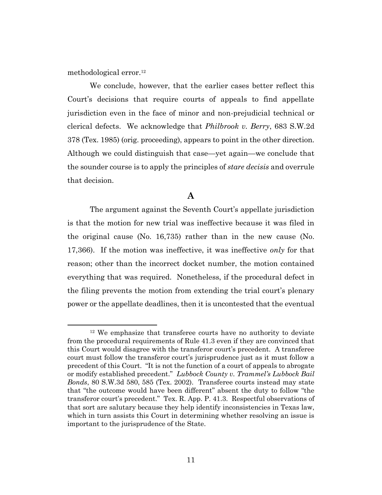methodological error.<sup>12</sup>

We conclude, however, that the earlier cases better reflect this Court's decisions that require courts of appeals to find appellate jurisdiction even in the face of minor and non-prejudicial technical or clerical defects. We acknowledge that *Philbrook v. Berry*, 683 S.W.2d 378 (Tex. 1985) (orig. proceeding), appears to point in the other direction. Although we could distinguish that case—yet again—we conclude that the sounder course is to apply the principles of *stare decisis* and overrule that decision.

# **A**

The argument against the Seventh Court's appellate jurisdiction is that the motion for new trial was ineffective because it was filed in the original cause (No. 16,735) rather than in the new cause (No. 17,366). If the motion was ineffective, it was ineffective *only* for that reason; other than the incorrect docket number, the motion contained everything that was required. Nonetheless, if the procedural defect in the filing prevents the motion from extending the trial court's plenary power or the appellate deadlines, then it is uncontested that the eventual

<sup>&</sup>lt;sup>12</sup> We emphasize that transferee courts have no authority to deviate from the procedural requirements of Rule 41.3 even if they are convinced that this Court would disagree with the transferor court's precedent. A transferee court must follow the transferor court's jurisprudence just as it must follow a precedent of this Court. "It is not the function of a court of appeals to abrogate or modify established precedent." *Lubbock County v. Trammel's Lubbock Bail Bonds*, 80 S.W.3d 580, 585 (Tex. 2002). Transferee courts instead may state that "the outcome would have been different" absent the duty to follow "the transferor court's precedent." Tex. R. App. P. 41.3. Respectful observations of that sort are salutary because they help identify inconsistencies in Texas law, which in turn assists this Court in determining whether resolving an issue is important to the jurisprudence of the State.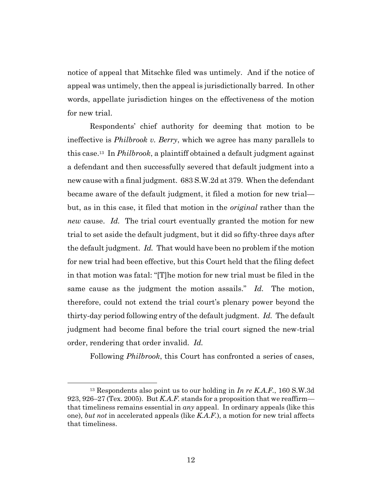notice of appeal that Mitschke filed was untimely. And if the notice of appeal was untimely, then the appeal is jurisdictionally barred. In other words, appellate jurisdiction hinges on the effectiveness of the motion for new trial.

Respondents' chief authority for deeming that motion to be ineffective is *Philbrook v. Berry*, which we agree has many parallels to this case.<sup>13</sup> In *Philbrook*, a plaintiff obtained a default judgment against a defendant and then successfully severed that default judgment into a new cause with a final judgment. 683 S.W.2d at 379. When the defendant became aware of the default judgment, it filed a motion for new trial but, as in this case, it filed that motion in the *original* rather than the *new* cause. *Id.* The trial court eventually granted the motion for new trial to set aside the default judgment, but it did so fifty-three days after the default judgment. *Id.* That would have been no problem if the motion for new trial had been effective, but this Court held that the filing defect in that motion was fatal: "[T]he motion for new trial must be filed in the same cause as the judgment the motion assails." *Id.* The motion, therefore, could not extend the trial court's plenary power beyond the thirty-day period following entry of the default judgment. *Id.* The default judgment had become final before the trial court signed the new-trial order, rendering that order invalid. *Id.*

Following *Philbrook*, this Court has confronted a series of cases,

<sup>13</sup> Respondents also point us to our holding in *In re K.A.F.*, 160 S.W.3d 923, 926–27 (Tex. 2005). But *K.A.F.* stands for a proposition that we reaffirm that timeliness remains essential in *any* appeal. In ordinary appeals (like this one), *but not* in accelerated appeals (like *K.A.F.*), a motion for new trial affects that timeliness.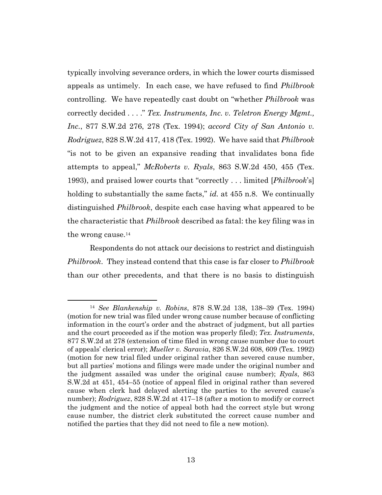typically involving severance orders, in which the lower courts dismissed appeals as untimely. In each case, we have refused to find *Philbrook*  controlling. We have repeatedly cast doubt on "whether *Philbrook* was correctly decided . . . ." *Tex. Instruments, Inc. v. Teletron Energy Mgmt., Inc.*, 877 S.W.2d 276, 278 (Tex. 1994); *accord City of San Antonio v. Rodriguez*, 828 S.W.2d 417, 418 (Tex. 1992). We have said that *Philbrook* "is not to be given an expansive reading that invalidates bona fide attempts to appeal," *McRoberts v. Ryals*, 863 S.W.2d 450, 455 (Tex. 1993), and praised lower courts that "correctly . . . limited [*Philbrook*'s] holding to substantially the same facts," *id.* at 455 n.8. We continually distinguished *Philbrook*, despite each case having what appeared to be the characteristic that *Philbrook* described as fatal: the key filing was in the wrong cause.<sup>14</sup>

Respondents do not attack our decisions to restrict and distinguish *Philbrook*. They instead contend that this case is far closer to *Philbrook* than our other precedents, and that there is no basis to distinguish

<sup>14</sup> *See Blankenship v. Robins*, 878 S.W.2d 138, 138–39 (Tex. 1994) (motion for new trial was filed under wrong cause number because of conflicting information in the court's order and the abstract of judgment, but all parties and the court proceeded as if the motion was properly filed); *Tex. Instruments*, 877 S.W.2d at 278 (extension of time filed in wrong cause number due to court of appeals' clerical error); *Mueller v. Saravia*, 826 S.W.2d 608, 609 (Tex. 1992) (motion for new trial filed under original rather than severed cause number, but all parties' motions and filings were made under the original number and the judgment assailed was under the original cause number); *Ryals*, 863 S.W.2d at 451, 454–55 (notice of appeal filed in original rather than severed cause when clerk had delayed alerting the parties to the severed cause's number); *Rodriguez*, 828 S.W.2d at 417–18 (after a motion to modify or correct the judgment and the notice of appeal both had the correct style but wrong cause number, the district clerk substituted the correct cause number and notified the parties that they did not need to file a new motion).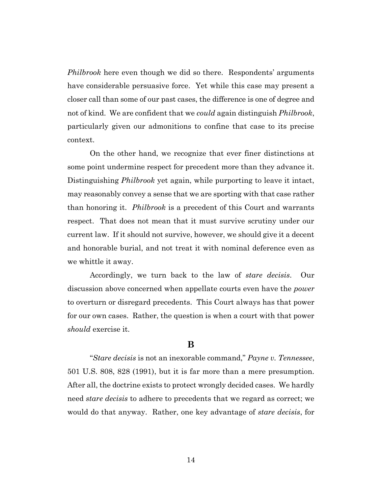*Philbrook* here even though we did so there. Respondents' arguments have considerable persuasive force. Yet while this case may present a closer call than some of our past cases, the difference is one of degree and not of kind. We are confident that we *could* again distinguish *Philbrook*, particularly given our admonitions to confine that case to its precise context.

On the other hand, we recognize that ever finer distinctions at some point undermine respect for precedent more than they advance it. Distinguishing *Philbrook* yet again, while purporting to leave it intact, may reasonably convey a sense that we are sporting with that case rather than honoring it. *Philbrook* is a precedent of this Court and warrants respect. That does not mean that it must survive scrutiny under our current law. If it should not survive, however, we should give it a decent and honorable burial, and not treat it with nominal deference even as we whittle it away.

Accordingly, we turn back to the law of *stare decisis*. Our discussion above concerned when appellate courts even have the *power*  to overturn or disregard precedents. This Court always has that power for our own cases. Rather, the question is when a court with that power *should* exercise it.

### **B**

"*Stare decisis* is not an inexorable command," *Payne v. Tennessee*, 501 U.S. 808, 828 (1991), but it is far more than a mere presumption. After all, the doctrine exists to protect wrongly decided cases. We hardly need *stare decisis* to adhere to precedents that we regard as correct; we would do that anyway. Rather, one key advantage of *stare decisis*, for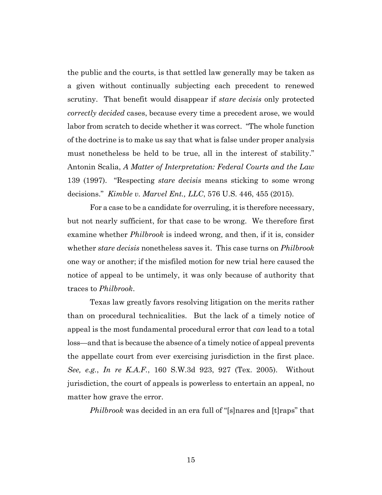the public and the courts, is that settled law generally may be taken as a given without continually subjecting each precedent to renewed scrutiny. That benefit would disappear if *stare decisis* only protected *correctly decided* cases, because every time a precedent arose, we would labor from scratch to decide whether it was correct. "The whole function of the doctrine is to make us say that what is false under proper analysis must nonetheless be held to be true, all in the interest of stability." Antonin Scalia, *A Matter of Interpretation: Federal Courts and the Law* 139 (1997). "Respecting *stare decisis* means sticking to some wrong decisions." *Kimble v. Marvel Ent., LLC*, 576 U.S. 446, 455 (2015).

For a case to be a candidate for overruling, it is therefore necessary, but not nearly sufficient, for that case to be wrong. We therefore first examine whether *Philbrook* is indeed wrong, and then, if it is, consider whether *stare decisis* nonetheless saves it. This case turns on *Philbrook*  one way or another; if the misfiled motion for new trial here caused the notice of appeal to be untimely, it was only because of authority that traces to *Philbrook*.

Texas law greatly favors resolving litigation on the merits rather than on procedural technicalities. But the lack of a timely notice of appeal is the most fundamental procedural error that *can* lead to a total loss—and that is because the absence of a timely notice of appeal prevents the appellate court from ever exercising jurisdiction in the first place. *See, e.g.*, *In re K.A.F.*, 160 S.W.3d 923, 927 (Tex. 2005). Without jurisdiction, the court of appeals is powerless to entertain an appeal, no matter how grave the error.

*Philbrook* was decided in an era full of "[s]nares and [t]raps" that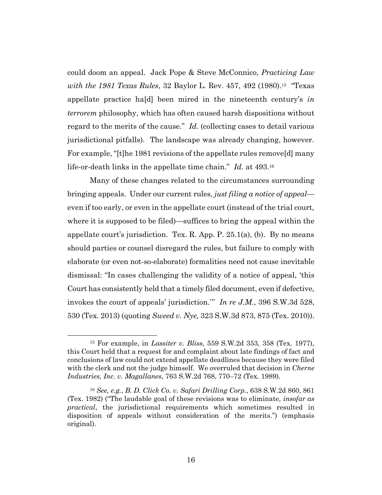could doom an appeal. Jack Pope & Steve McConnico, *Practicing Law*  with the 1981 Texas Rules, 32 Baylor L. Rev. 457, 492 (1980).<sup>15</sup> "Texas appellate practice ha[d] been mired in the nineteenth century's *in terrorem* philosophy, which has often caused harsh dispositions without regard to the merits of the cause." *Id.* (collecting cases to detail various jurisdictional pitfalls). The landscape was already changing, however. For example, "[t]he 1981 revisions of the appellate rules remove[d] many life-or-death links in the appellate time chain." *Id.* at 493.<sup>16</sup>

Many of these changes related to the circumstances surrounding bringing appeals. Under our current rules, *just filing a notice of appeal* even if too early, or even in the appellate court (instead of the trial court, where it is supposed to be filed)—suffices to bring the appeal within the appellate court's jurisdiction. Tex. R. App. P. 25.1(a), (b). By no means should parties or counsel disregard the rules, but failure to comply with elaborate (or even not-so-elaborate) formalities need not cause inevitable dismissal: "In cases challenging the validity of a notice of appeal, 'this Court has consistently held that a timely filed document, even if defective, invokes the court of appeals' jurisdiction.'" *In re J.M.*, 396 S.W.3d 528, 530 (Tex. 2013) (quoting *Sweed v. Nye,* 323 S.W.3d 873, 875 (Tex. 2010)).

<sup>15</sup> For example, in *Lassiter v. Bliss*, 559 S.W.2d 353, 358 (Tex. 1977), this Court held that a request for and complaint about late findings of fact and conclusions of law could not extend appellate deadlines because they were filed with the clerk and not the judge himself. We overruled that decision in *Cherne Industries, Inc. v. Magallanes*, 763 S.W.2d 768, 770–72 (Tex. 1989).

<sup>16</sup> *See, e.g.*, *B. D. Click Co. v. Safari Drilling Corp.*, 638 S.W.2d 860, 861 (Tex. 1982) ("The laudable goal of these revisions was to eliminate, *insofar as practical*, the jurisdictional requirements which sometimes resulted in disposition of appeals without consideration of the merits.") (emphasis original).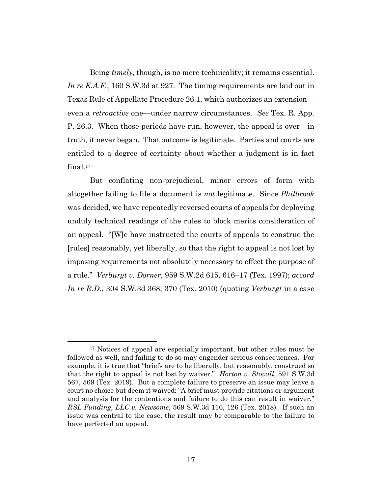Being *timely*, though, is no mere technicality; it remains essential. *In re K.A.F.*, 160 S.W.3d at 927. The timing requirements are laid out in Texas Rule of Appellate Procedure 26.1, which authorizes an extension even a *retroactive* one—under narrow circumstances. *See* Tex. R. App. P. 26.3. When those periods have run, however, the appeal is over—in truth, it never began. That outcome is legitimate. Parties and courts are entitled to a degree of certainty about whether a judgment is in fact final.<sup>17</sup>

But conflating non-prejudicial, minor errors of form with altogether failing to file a document is *not* legitimate. Since *Philbrook*  was decided, we have repeatedly reversed courts of appeals for deploying unduly technical readings of the rules to block merits consideration of an appeal. "[W]e have instructed the courts of appeals to construe the [rules] reasonably, yet liberally, so that the right to appeal is not lost by imposing requirements not absolutely necessary to effect the purpose of a rule." *Verburgt v. Dorner*, 959 S.W.2d 615, 616–17 (Tex. 1997); *accord In re R.D.*, 304 S.W.3d 368, 370 (Tex. 2010) (quoting *Verburgt* in a case

<sup>&</sup>lt;sup>17</sup> Notices of appeal are especially important, but other rules must be followed as well, and failing to do so may engender serious consequences. For example, it is true that "briefs are to be liberally, but reasonably, construed so that the right to appeal is not lost by waiver." *Horton v. Stovall*, 591 S.W.3d 567, 569 (Tex. 2019). But a complete failure to preserve an issue may leave a court no choice but deem it waived: "A brief must provide citations or argument and analysis for the contentions and failure to do this can result in waiver." *RSL Funding, LLC v. Newsome*, 569 S.W.3d 116, 126 (Tex. 2018). If such an issue was central to the case, the result may be comparable to the failure to have perfected an appeal.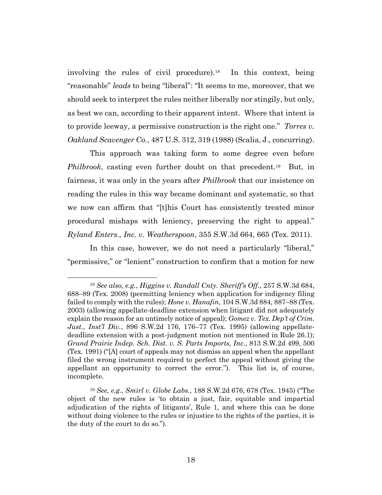involving the rules of civil procedure). 18 In this context, being "reasonable" *leads* to being "liberal": "It seems to me, moreover, that we should seek to interpret the rules neither liberally nor stingily, but only, as best we can, according to their apparent intent. Where that intent is to provide leeway, a permissive construction is the right one." *Torres v. Oakland Scavenger Co.*, 487 U.S. 312, 319 (1988) (Scalia, J., concurring).

This approach was taking form to some degree even before *Philbrook*, casting even further doubt on that precedent.<sup>19</sup> But, in fairness, it was only in the years after *Philbrook* that our insistence on reading the rules in this way became dominant and systematic, so that we now can affirm that "[t]his Court has consistently treated minor procedural mishaps with leniency, preserving the right to appeal." *Ryland Enters., Inc. v. Weatherspoon*, 355 S.W.3d 664, 665 (Tex. 2011).

In this case, however, we do not need a particularly "liberal," "permissive," or "lenient" construction to confirm that a motion for new

<sup>18</sup> *See also, e.g.*, *Higgins v. Randall Cnty. Sheriff's Off.*, 257 S.W.3d 684, 688–89 (Tex. 2008) (permitting leniency when application for indigency filing failed to comply with the rules); *Hone v. Hanafin*, 104 S.W.3d 884, 887–88 (Tex. 2003) (allowing appellate-deadline extension when litigant did not adequately explain the reason for an untimely notice of appeal); *Gomez v. Tex. Dep't of Crim. Just., Inst'l Div.*, 896 S.W.2d 176, 176–77 (Tex. 1995) (allowing appellatedeadline extension with a post-judgment motion not mentioned in Rule 26.1); *Grand Prairie Indep. Sch. Dist. v. S. Parts Imports, Inc.*, 813 S.W.2d 499, 500 (Tex. 1991) ("[A] court of appeals may not dismiss an appeal when the appellant filed the wrong instrument required to perfect the appeal without giving the appellant an opportunity to correct the error."). This list is, of course, incomplete.

<sup>19</sup> *See, e.g.*, *Smirl v. Globe Labs.*, 188 S.W.2d 676, 678 (Tex. 1945) ("The object of the new rules is 'to obtain a just, fair, equitable and impartial adjudication of the rights of litigants', Rule 1, and where this can be done without doing violence to the rules or injustice to the rights of the parties, it is the duty of the court to do so.").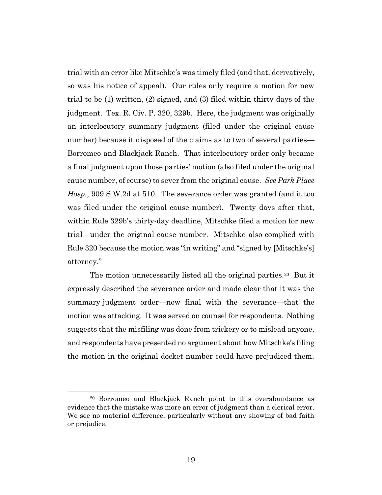trial with an error like Mitschke's was timely filed (and that, derivatively, so was his notice of appeal). Our rules only require a motion for new trial to be (1) written, (2) signed, and (3) filed within thirty days of the judgment. Tex. R. Civ. P. 320, 329b. Here, the judgment was originally an interlocutory summary judgment (filed under the original cause number) because it disposed of the claims as to two of several parties— Borromeo and Blackjack Ranch. That interlocutory order only became a final judgment upon those parties' motion (also filed under the original cause number, of course) to sever from the original cause. *See Park Place Hosp.*, 909 S.W.2d at 510. The severance order was granted (and it too was filed under the original cause number). Twenty days after that, within Rule 329b's thirty-day deadline, Mitschke filed a motion for new trial—under the original cause number. Mitschke also complied with Rule 320 because the motion was "in writing" and "signed by [Mitschke's] attorney."

The motion unnecessarily listed all the original parties.<sup>20</sup> But it expressly described the severance order and made clear that it was the summary-judgment order—now final with the severance—that the motion was attacking. It was served on counsel for respondents. Nothing suggests that the misfiling was done from trickery or to mislead anyone, and respondents have presented no argument about how Mitschke's filing the motion in the original docket number could have prejudiced them.

<sup>20</sup> Borromeo and Blackjack Ranch point to this overabundance as evidence that the mistake was more an error of judgment than a clerical error. We see no material difference, particularly without any showing of bad faith or prejudice.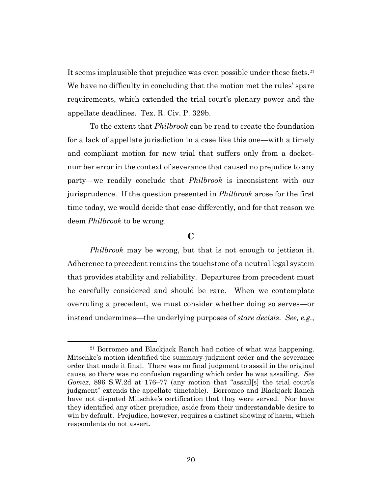It seems implausible that prejudice was even possible under these facts.<sup>21</sup> We have no difficulty in concluding that the motion met the rules' spare requirements, which extended the trial court's plenary power and the appellate deadlines. Tex. R. Civ. P. 329b.

To the extent that *Philbrook* can be read to create the foundation for a lack of appellate jurisdiction in a case like this one—with a timely and compliant motion for new trial that suffers only from a docketnumber error in the context of severance that caused no prejudice to any party—we readily conclude that *Philbrook* is inconsistent with our jurisprudence. If the question presented in *Philbrook* arose for the first time today, we would decide that case differently, and for that reason we deem *Philbrook* to be wrong.

# **C**

*Philbrook* may be wrong, but that is not enough to jettison it. Adherence to precedent remains the touchstone of a neutral legal system that provides stability and reliability. Departures from precedent must be carefully considered and should be rare. When we contemplate overruling a precedent, we must consider whether doing so serves—or instead undermines—the underlying purposes of *stare decisis*. *See, e.g.*,

<sup>21</sup> Borromeo and Blackjack Ranch had notice of what was happening. Mitschke's motion identified the summary-judgment order and the severance order that made it final. There was no final judgment to assail in the original cause, so there was no confusion regarding which order he was assailing. *See Gomez*, 896 S.W.2d at 176–77 (any motion that "assail[s] the trial court's judgment" extends the appellate timetable). Borromeo and Blackjack Ranch have not disputed Mitschke's certification that they were served. Nor have they identified any other prejudice, aside from their understandable desire to win by default. Prejudice, however, requires a distinct showing of harm, which respondents do not assert.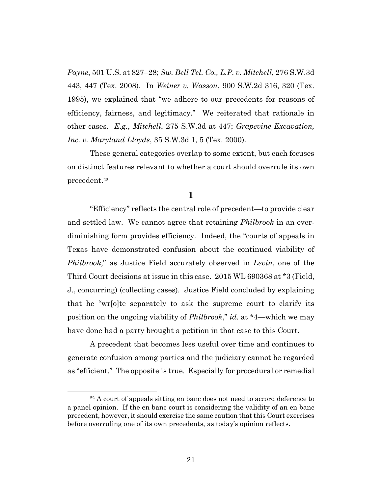*Payne*, 501 U.S. at 827–28; *Sw. Bell Tel. Co., L.P. v. Mitchell*, 276 S.W.3d 443, 447 (Tex. 2008). In *Weiner v. Wasson*, 900 S.W.2d 316, 320 (Tex. 1995), we explained that "we adhere to our precedents for reasons of efficiency, fairness, and legitimacy." We reiterated that rationale in other cases. *E.g.*, *Mitchell*, 275 S.W.3d at 447; *Grapevine Excavation, Inc. v. Maryland Lloyds*, 35 S.W.3d 1, 5 (Tex. 2000).

These general categories overlap to some extent, but each focuses on distinct features relevant to whether a court should overrule its own precedent.<sup>22</sup>

**1**

"Efficiency" reflects the central role of precedent—to provide clear and settled law. We cannot agree that retaining *Philbrook* in an everdiminishing form provides efficiency. Indeed, the "courts of appeals in Texas have demonstrated confusion about the continued viability of *Philbrook*," as Justice Field accurately observed in *Levin*, one of the Third Court decisions at issue in this case. 2015 WL 690368 at \*3 (Field, J., concurring) (collecting cases). Justice Field concluded by explaining that he "wr[o]te separately to ask the supreme court to clarify its position on the ongoing viability of *Philbrook*," *id.* at \*4—which we may have done had a party brought a petition in that case to this Court.

A precedent that becomes less useful over time and continues to generate confusion among parties and the judiciary cannot be regarded as "efficient." The opposite is true. Especially for procedural or remedial

<sup>&</sup>lt;sup>22</sup> A court of appeals sitting en banc does not need to accord deference to a panel opinion. If the en banc court is considering the validity of an en banc precedent, however, it should exercise the same caution that this Court exercises before overruling one of its own precedents, as today's opinion reflects.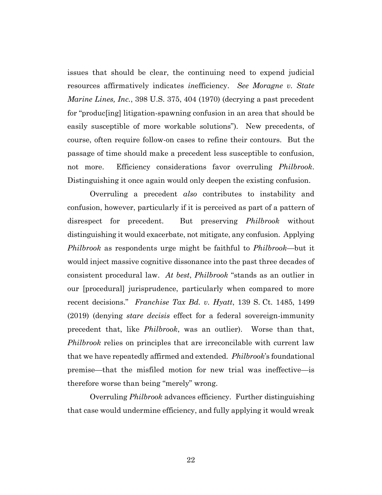issues that should be clear, the continuing need to expend judicial resources affirmatively indicates *in*efficiency. *See Moragne v. State Marine Lines, Inc.*, 398 U.S. 375, 404 (1970) (decrying a past precedent for "produc[ing] litigation-spawning confusion in an area that should be easily susceptible of more workable solutions"). New precedents, of course, often require follow-on cases to refine their contours. But the passage of time should make a precedent less susceptible to confusion, not more. Efficiency considerations favor overruling *Philbrook*. Distinguishing it once again would only deepen the existing confusion.

Overruling a precedent *also* contributes to instability and confusion, however, particularly if it is perceived as part of a pattern of disrespect for precedent. But preserving *Philbrook* without distinguishing it would exacerbate, not mitigate, any confusion. Applying *Philbrook* as respondents urge might be faithful to *Philbrook*—but it would inject massive cognitive dissonance into the past three decades of consistent procedural law. *At best*, *Philbrook* "stands as an outlier in our [procedural] jurisprudence, particularly when compared to more recent decisions." *Franchise Tax Bd. v. Hyatt*, 139 S. Ct. 1485, 1499 (2019) (denying *stare decisis* effect for a federal sovereign-immunity precedent that, like *Philbrook*, was an outlier). Worse than that, *Philbrook* relies on principles that are irreconcilable with current law that we have repeatedly affirmed and extended. *Philbrook*'s foundational premise—that the misfiled motion for new trial was ineffective—is therefore worse than being "merely" wrong.

Overruling *Philbrook* advances efficiency. Further distinguishing that case would undermine efficiency, and fully applying it would wreak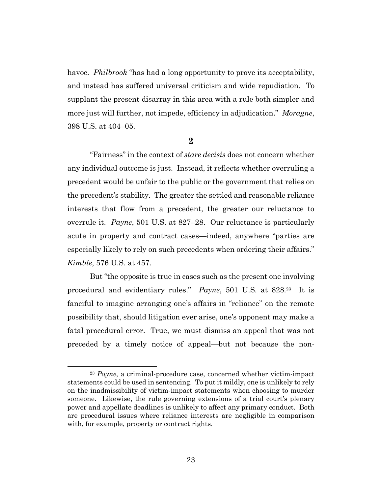havoc. *Philbrook* "has had a long opportunity to prove its acceptability, and instead has suffered universal criticism and wide repudiation. To supplant the present disarray in this area with a rule both simpler and more just will further, not impede, efficiency in adjudication." *Moragne*, 398 U.S. at 404–05.

#### **2**

"Fairness" in the context of *stare decisis* does not concern whether any individual outcome is just. Instead, it reflects whether overruling a precedent would be unfair to the public or the government that relies on the precedent's stability. The greater the settled and reasonable reliance interests that flow from a precedent, the greater our reluctance to overrule it. *Payne*, 501 U.S. at 827–28. Our reluctance is particularly acute in property and contract cases—indeed, anywhere "parties are especially likely to rely on such precedents when ordering their affairs." *Kimble*, 576 U.S. at 457.

But "the opposite is true in cases such as the present one involving procedural and evidentiary rules." *Payne*, 501 U.S. at 828*.* <sup>23</sup> It is fanciful to imagine arranging one's affairs in "reliance" on the remote possibility that, should litigation ever arise, one's opponent may make a fatal procedural error. True, we must dismiss an appeal that was not preceded by a timely notice of appeal—but not because the non-

<sup>23</sup> *Payne*, a criminal-procedure case, concerned whether victim-impact statements could be used in sentencing. To put it mildly, one is unlikely to rely on the inadmissibility of victim-impact statements when choosing to murder someone. Likewise, the rule governing extensions of a trial court's plenary power and appellate deadlines is unlikely to affect any primary conduct. Both are procedural issues where reliance interests are negligible in comparison with, for example, property or contract rights.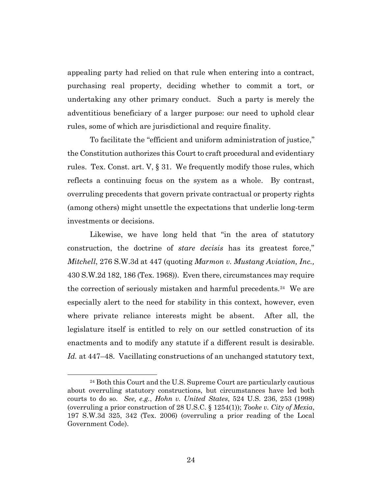appealing party had relied on that rule when entering into a contract, purchasing real property, deciding whether to commit a tort, or undertaking any other primary conduct. Such a party is merely the adventitious beneficiary of a larger purpose: our need to uphold clear rules, some of which are jurisdictional and require finality.

To facilitate the "efficient and uniform administration of justice," the Constitution authorizes this Court to craft procedural and evidentiary rules. Tex. Const. art. V, § 31. We frequently modify those rules, which reflects a continuing focus on the system as a whole. By contrast, overruling precedents that govern private contractual or property rights (among others) might unsettle the expectations that underlie long-term investments or decisions.

Likewise, we have long held that "in the area of statutory construction, the doctrine of *stare decisis* has its greatest force," *Mitchell*, 276 S.W.3d at 447 (quoting *Marmon v. Mustang Aviation, Inc.,* 430 S.W.2d 182, 186 (Tex. 1968)). Even there, circumstances may require the correction of seriously mistaken and harmful precedents.<sup>24</sup> We are especially alert to the need for stability in this context, however, even where private reliance interests might be absent. After all, the legislature itself is entitled to rely on our settled construction of its enactments and to modify any statute if a different result is desirable. *Id.* at 447–48. Vacillating constructions of an unchanged statutory text,

<sup>24</sup> Both this Court and the U.S. Supreme Court are particularly cautious about overruling statutory constructions, but circumstances have led both courts to do so. *See, e.g.*, *Hohn v. United States*, 524 U.S. 236, 253 (1998) (overruling a prior construction of 28 U.S.C. § 1254(1)); *Tooke v. City of Mexia*, 197 S.W.3d 325, 342 (Tex. 2006) (overruling a prior reading of the Local Government Code).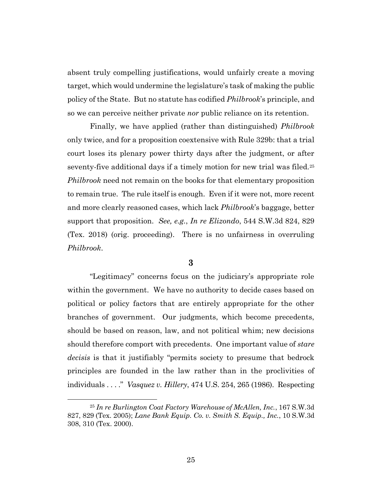absent truly compelling justifications, would unfairly create a moving target, which would undermine the legislature's task of making the public policy of the State. But no statute has codified *Philbrook*'s principle, and so we can perceive neither private *nor* public reliance on its retention.

Finally, we have applied (rather than distinguished) *Philbrook* only twice, and for a proposition coextensive with Rule 329b: that a trial court loses its plenary power thirty days after the judgment, or after seventy-five additional days if a timely motion for new trial was filed.<sup>25</sup> *Philbrook* need not remain on the books for that elementary proposition to remain true. The rule itself is enough. Even if it were not, more recent and more clearly reasoned cases, which lack *Philbrook*'s baggage, better support that proposition. *See, e.g.*, *In re Elizondo*, 544 S.W.3d 824, 829 (Tex. 2018) (orig. proceeding). There is no unfairness in overruling *Philbrook*.

## **3**

"Legitimacy" concerns focus on the judiciary's appropriate role within the government. We have no authority to decide cases based on political or policy factors that are entirely appropriate for the other branches of government. Our judgments, which become precedents, should be based on reason, law, and not political whim; new decisions should therefore comport with precedents. One important value of *stare decisis* is that it justifiably "permits society to presume that bedrock principles are founded in the law rather than in the proclivities of individuals . . . ." *Vasquez v. Hillery*, 474 U.S. 254, 265 (1986). Respecting

<sup>25</sup> *In re Burlington Coat Factory Warehouse of McAllen, Inc.*, 167 S.W.3d 827, 829 (Tex. 2005); *Lane Bank Equip. Co. v. Smith S. Equip., Inc.*, 10 S.W.3d 308, 310 (Tex. 2000).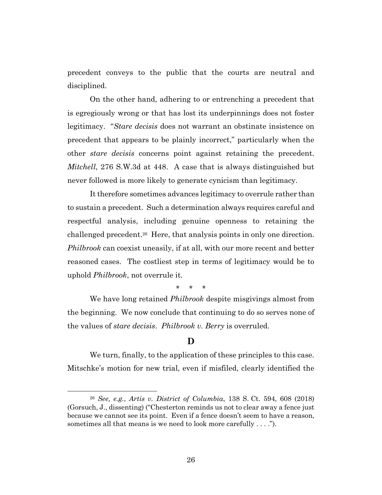precedent conveys to the public that the courts are neutral and disciplined.

On the other hand, adhering to or entrenching a precedent that is egregiously wrong or that has lost its underpinnings does not foster legitimacy. "*Stare decisis* does not warrant an obstinate insistence on precedent that appears to be plainly incorrect," particularly when the other *stare decisis* concerns point against retaining the precedent. *Mitchell*, 276 S.W.3d at 448. A case that is always distinguished but never followed is more likely to generate cynicism than legitimacy.

It therefore sometimes advances legitimacy to overrule rather than to sustain a precedent. Such a determination always requires careful and respectful analysis, including genuine openness to retaining the challenged precedent.<sup>26</sup> Here, that analysis points in only one direction. *Philbrook* can coexist uneasily, if at all, with our more recent and better reasoned cases. The costliest step in terms of legitimacy would be to uphold *Philbrook*, not overrule it.

\* \* \*

We have long retained *Philbrook* despite misgivings almost from the beginning. We now conclude that continuing to do so serves none of the values of *stare decisis*. *Philbrook v. Berry* is overruled.

# **D**

We turn, finally, to the application of these principles to this case. Mitschke's motion for new trial, even if misfiled, clearly identified the

<sup>26</sup> *See, e.g.*, *Artis v. District of Columbia*, 138 S. Ct. 594, 608 (2018) (Gorsuch, J., dissenting) ("Chesterton reminds us not to clear away a fence just because we cannot see its point. Even if a fence doesn't seem to have a reason, sometimes all that means is we need to look more carefully . . . .").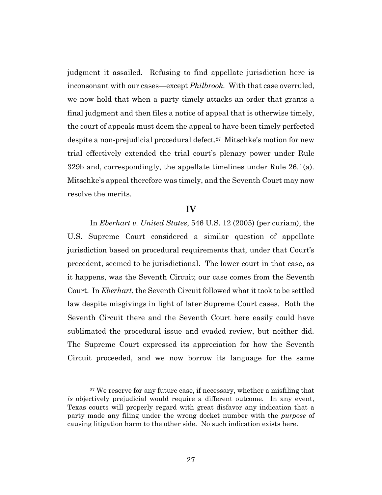judgment it assailed. Refusing to find appellate jurisdiction here is inconsonant with our cases—except *Philbrook*. With that case overruled, we now hold that when a party timely attacks an order that grants a final judgment and then files a notice of appeal that is otherwise timely, the court of appeals must deem the appeal to have been timely perfected despite a non-prejudicial procedural defect.<sup>27</sup> Mitschke's motion for new trial effectively extended the trial court's plenary power under Rule 329b and, correspondingly, the appellate timelines under Rule 26.1(a). Mitschke's appeal therefore was timely, and the Seventh Court may now resolve the merits.

### **IV**

In *Eberhart v. United States*, 546 U.S. 12 (2005) (per curiam), the U.S. Supreme Court considered a similar question of appellate jurisdiction based on procedural requirements that, under that Court's precedent, seemed to be jurisdictional. The lower court in that case, as it happens, was the Seventh Circuit; our case comes from the Seventh Court. In *Eberhart*, the Seventh Circuit followed what it took to be settled law despite misgivings in light of later Supreme Court cases. Both the Seventh Circuit there and the Seventh Court here easily could have sublimated the procedural issue and evaded review, but neither did. The Supreme Court expressed its appreciation for how the Seventh Circuit proceeded, and we now borrow its language for the same

<sup>&</sup>lt;sup>27</sup> We reserve for any future case, if necessary, whether a misfiling that *is* objectively prejudicial would require a different outcome. In any event, Texas courts will properly regard with great disfavor any indication that a party made any filing under the wrong docket number with the *purpose* of causing litigation harm to the other side. No such indication exists here.